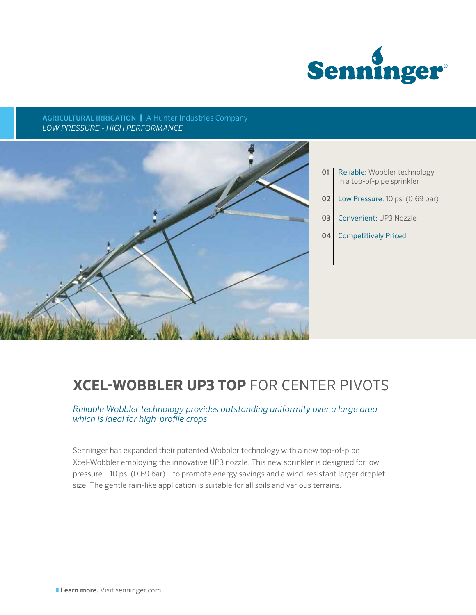

AGRICULTURAL IRRIGATION | A Hunter Industries Company *LOW PRESSURE - HIGH PERFORMANCE*



- 01 | Reliable: Wobbler technology in a top-of-pipe sprinkler
- 02 | Low Pressure: 10 psi (0.69 bar)
- 03 Convenient: UP3 Nozzle
- 04 Competitively Priced

# **XCEL-WOBBLER UP3 TOP** FOR CENTER PIVOTS

*Reliable Wobbler technology provides outstanding uniformity over a large area which is ideal for high-profile crops*

Senninger has expanded their patented Wobbler technology with a new top-of-pipe Xcel-Wobbler employing the innovative UP3 nozzle. This new sprinkler is designed for low pressure – 10 psi (0.69 bar) – to promote energy savings and a wind-resistant larger droplet size. The gentle rain-like application is suitable for all soils and various terrains.